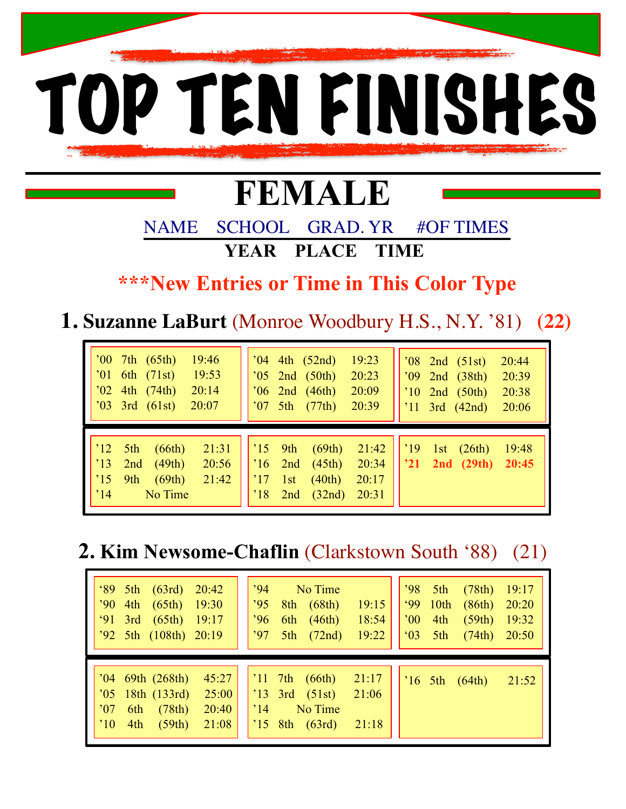

# **FEMALE**

 NAME SCHOOL GRAD. YR #OF TIMES **YEAR PLACE TIME** 

 **\*\*\*New Entries or Time in This Color Type** 

**1. Suzanne LaBurt** (Monroe Woodbury H.S., N.Y. '81) **(22)**

| $'00$ 7th $(65th)$<br>19:46<br>$'01$ 6th $(71st)$<br>19:53<br>$'02$ 4th $(74th)$<br>20:14<br>$'03$ 3rd $(61st)$<br>20:07                               | 19:23<br>$04$ 4th $(52nd)$<br>$'08$ 2nd $(51st)$<br>20:44<br>$'05$ 2nd $(50th)$<br>20:23<br>'09 2nd (38th)<br>20:39<br>$'06$ 2nd $(46th)$<br>20:09<br>20:38<br>$'10$ 2nd (50th)<br>$'07 \text{ 5th} (77th)$<br>20:39<br>$'11$ 3rd (42nd)<br>20:06 |
|--------------------------------------------------------------------------------------------------------------------------------------------------------|---------------------------------------------------------------------------------------------------------------------------------------------------------------------------------------------------------------------------------------------------|
| 21:31<br>$^{\prime}$ 12 5th<br>(66th)<br>(49th)<br>$^{\prime}13$<br>20:56<br>2nd<br>(69th)<br>$^{\prime}15$<br>9th<br>21:42<br>No Time<br>$^{\circ}14$ | $^{\prime}15$ 9th<br>(69th)<br>21:42<br>$^{\prime}19$<br>19:48<br>1st<br>(26th)<br>$21$ 2nd $(29th)$ 20:45<br>(45th)<br>20:34<br>$^{\prime}$ 16 2nd<br>(40th)<br>20:17<br>$^{\prime}17$<br>1st<br>20:31<br>$^{\prime}18$<br>(32nd)<br>2nd         |

**2. Kim Newsome-Chaflin** (Clarkstown South '88) (21)

| $^{\circ}89$ 5th (63rd)<br>20:42<br>$'90$ 4th $(65th)$ 19:30<br>$91$ 3rd<br>$(65th)$ 19:17<br>'92 5th (108th) 20:19                               | '94 No Time<br>'95<br>$8th$ $(68th)$<br>19:15<br>.96<br>6th $(46th)$<br>18:54<br>19:22<br>$5th$ $(72nd)$<br>'97        | $'98$ 5th<br>(78th)<br>19:17<br>$99$ 10th<br>(86th)<br>20:20<br>(59th)<br>$^{\circ}00$<br>4th<br>19:32<br>$^{\circ}03$ 5th<br>(74th)<br>20:50 |
|---------------------------------------------------------------------------------------------------------------------------------------------------|------------------------------------------------------------------------------------------------------------------------|-----------------------------------------------------------------------------------------------------------------------------------------------|
| $'04$ 69th $(268th)$<br>45:27<br>$'05$ 18th (133rd)<br>25:00<br>$^{\circ}07$<br>(78th)<br>20:40<br>6th<br>$^{\prime}10$<br>(59th)<br>4th<br>21:08 | $'11$ 7th (66th) 21:17<br>$'13$ 3rd $(51st)$<br>21:06<br>$^{\circ}14$<br>No Time<br>$^{\prime}$ 15 8th (63rd)<br>21:18 | 21:52<br>$16 \, 5th \, (64th)$                                                                                                                |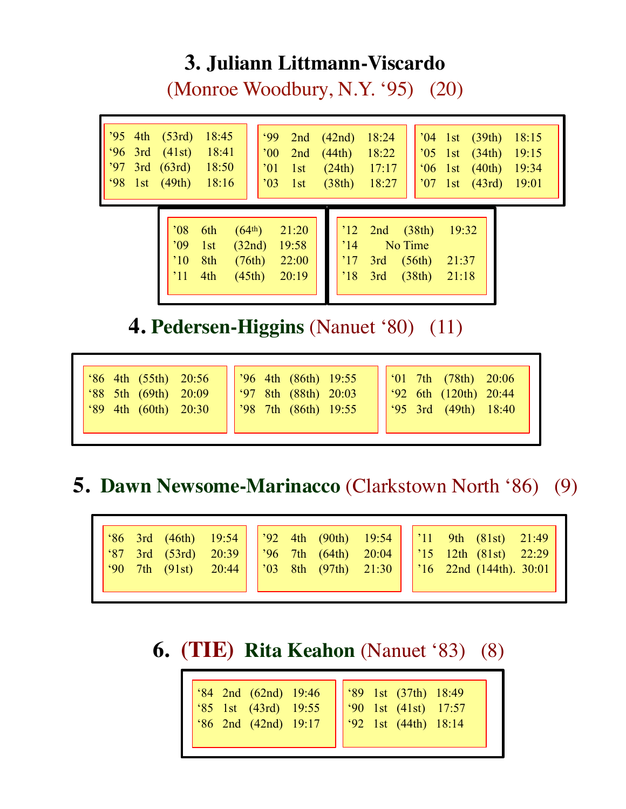## **3. Juliann Littmann-Viscardo**

(Monroe Woodbury, N.Y. '95) (20)

| $'95$ 4th $(53rd)$<br>18:45<br>$96 \text{ } 3rd \text{ } (41st)$<br>18:41<br>'97<br>3rd (63rd)<br>18:50<br>98<br>1st $(49th)$<br>18:16 | $99^\circ$<br>2nd $(42nd)$<br>18:24<br>$00^{\circ}$<br>(44th)<br>18:22<br>2nd<br>$^{\circ}01$<br>(24th)<br>17:17<br>1st<br>$^{\prime}03$<br>(38th)<br>18:27<br>1st          | $'04$ 1st (39th)<br>18:15<br>$'05$ 1st $(34th)$<br>19:15<br>$^{\circ}06$ 1st (40th)<br>19:34<br>$'07$ 1st (43rd) 19:01 |
|----------------------------------------------------------------------------------------------------------------------------------------|-----------------------------------------------------------------------------------------------------------------------------------------------------------------------------|------------------------------------------------------------------------------------------------------------------------|
| 08'<br>6th<br>09'<br>1st<br>$^{\prime}10$<br>8th<br>$^{\prime}11$<br>4th                                                               | (64 <sup>th</sup> )<br>$12$ 2nd $(38th)$<br>21:20<br>19:58<br>$^{\prime}14$<br>(32nd)<br>(76th)<br>22:00<br>$^{\prime}17$<br>3rd<br>20:19<br>(45th)<br>$^{\prime}18$<br>3rd | 19:32<br>No Time<br>(56th)<br>21:37<br>(38th)<br>21:18                                                                 |

**4. Pedersen-Higgins** (Nanuet '80) (11)

| '96 4th (86th) 19:55<br>$\frac{1}{2}$ (36 4th (55th) 20:56<br>(97 8th (88th) 20:03<br>$^{\circ}88$ 5th (69th) 20:09<br>$ $ '98 7th (86th) 19:55<br>'89 4th (60th) 20:30 | $\int 01$ 7th (78th) 20:06<br>$\frac{1}{92}$ 6th (120th) 20:44<br>$\begin{bmatrix} .95 & 3rd & (49th) & 18:40 \end{bmatrix}$ |
|-------------------------------------------------------------------------------------------------------------------------------------------------------------------------|------------------------------------------------------------------------------------------------------------------------------|
|-------------------------------------------------------------------------------------------------------------------------------------------------------------------------|------------------------------------------------------------------------------------------------------------------------------|

# **5. Dawn Newsome-Marinacco** (Clarkstown North '86) (9)

|--|--|--|--|--|--|--|--|--|--|--|--|--|

# **6. (TIE) Rita Keahon** (Nanuet '83) (8)

| '84 2nd (62nd) 19:46<br>'85 1st (43rd) 19:55<br>'86 2nd (42nd) 19:17 | 89 1st (37th) 18:49<br>90 1st (41st) 17:57<br>92 1st (44th) 18:14 |
|----------------------------------------------------------------------|-------------------------------------------------------------------|
|----------------------------------------------------------------------|-------------------------------------------------------------------|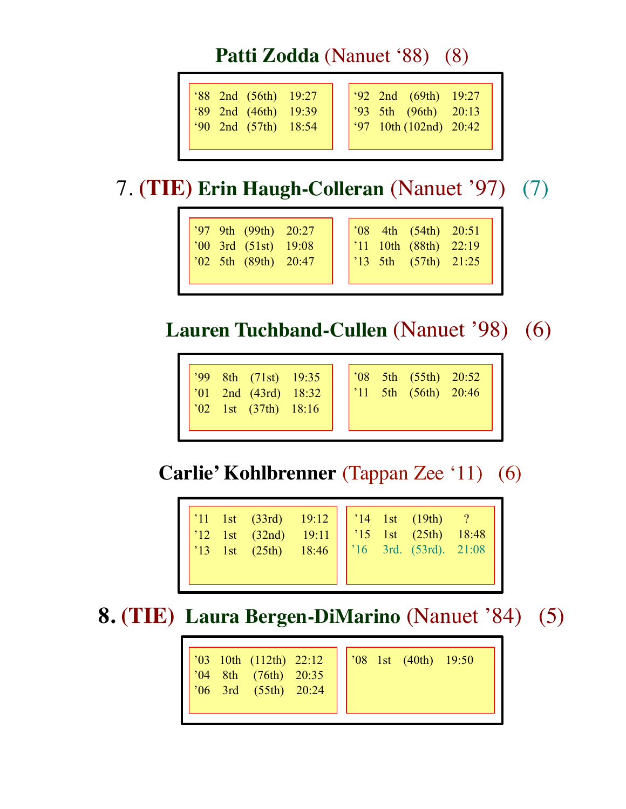## Patti Zodda (Nanuet '88) (8)

| '88 2nd (56th) 19:27                                                                                        | $\frac{1}{92}$ 2nd (69th) 19:27                                                                               |
|-------------------------------------------------------------------------------------------------------------|---------------------------------------------------------------------------------------------------------------|
| $\begin{array}{ c c c c c }\hline \text{39} & \text{2nd} & \text{(46th)} & \text{19:39} \hline \end{array}$ | $\begin{array}{ l c c c c c c c }\n\hline\n\text{3} & \text{5th} & \text{(96th)} & \text{20:13}\n\end{array}$ |
| $90$ 2nd $(57th)$ 18:54                                                                                     | $\frac{1}{97}$ 10th (102nd) 20:42                                                                             |
|                                                                                                             |                                                                                                               |

# 7. **(TIE) Erin Haugh-Colleran** (Nanuet '97) (7)

| $\sqrt{97}$ 9th (99th) 20:27 | $\sqrt{08}$ 4th (54th) 20:51                                                         |
|------------------------------|--------------------------------------------------------------------------------------|
| $\sqrt{00}$ 3rd (51st) 19:08 | $\begin{array}{ l c c c c c c c }\n\hline\n111 & 10th & (88th) & 22:19\n\end{array}$ |
| $\sqrt{02}$ 5th (89th) 20:47 | $\begin{vmatrix} 13 & 5th & (57th) & 21:25 \end{vmatrix}$                            |

# **Lauren Tuchband-Cullen** (Nanuet '98) (6)

| 799 8th (71st) 19:35<br>701 2nd (43rd) 18:32<br>711 5th (56th) 20:46<br>'01 2nd (43rd) 18:32<br>$\begin{bmatrix} 0 & 0 & 1 \\ 0 & 2 & 1 \end{bmatrix}$ (37th) 18:16 |  |  |  |  |  |
|---------------------------------------------------------------------------------------------------------------------------------------------------------------------|--|--|--|--|--|
|---------------------------------------------------------------------------------------------------------------------------------------------------------------------|--|--|--|--|--|

**Carlie' Kohlbrenner** (Tappan Zee '11) (6)

| 11 1st (33rd) 19:12<br>13 1st (32nd) 19:11<br>15 1st (25th) 18:48<br>17 18 1st (25th) 18:46<br>18:46<br>17 16 3rd. (53rd). 21:08 |  |  |
|----------------------------------------------------------------------------------------------------------------------------------|--|--|
|----------------------------------------------------------------------------------------------------------------------------------|--|--|

# **8. (TIE) Laura Bergen-DiMarino** (Nanuet '84) (5)

| $\begin{array}{ l } \hline \text{?03} & \text{10th} & \text{(112th)} & \text{22:12} \\ \hline \end{array}$<br>$\begin{array}{cccc} \hline 04 & 8\text{th} & (76\text{th}) & 20:35 \\ 06 & 3\text{rd} & (55\text{th}) & 20:24 \end{array}$ |  |  |  | $\begin{array}{ l} \hline \text{?08} \text{ 1st} \text{ (40th)} \text{ 19:50} \end{array}$ |  |  |
|-------------------------------------------------------------------------------------------------------------------------------------------------------------------------------------------------------------------------------------------|--|--|--|--------------------------------------------------------------------------------------------|--|--|
|-------------------------------------------------------------------------------------------------------------------------------------------------------------------------------------------------------------------------------------------|--|--|--|--------------------------------------------------------------------------------------------|--|--|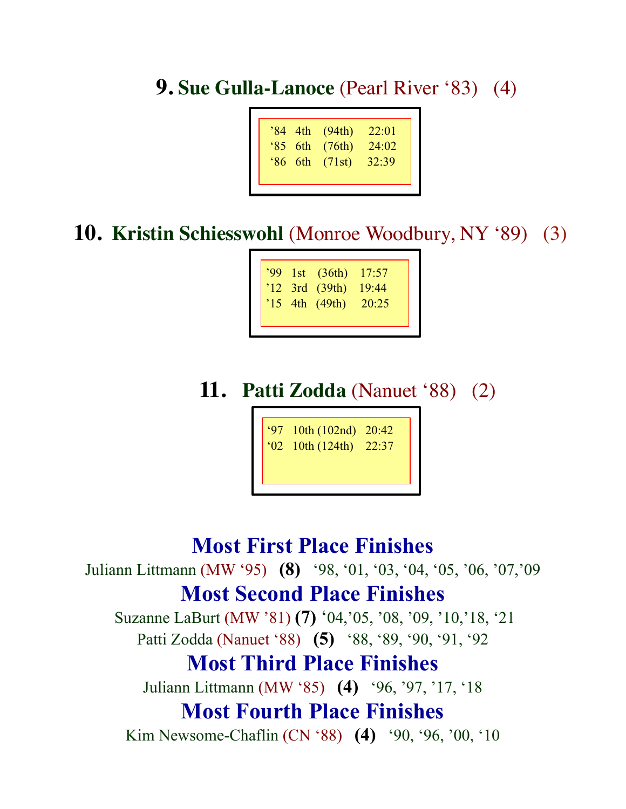**9. Sue Gulla-Lanoce** (Pearl River '83) (4)

| '84 4th<br>22:01<br>(94th)<br>24.02<br>$85$ 6th<br>(76th)<br>$86$ 6th<br>32:39<br>(71st) |
|------------------------------------------------------------------------------------------|
|------------------------------------------------------------------------------------------|

**10. Kristin Schiesswohl** (Monroe Woodbury, NY '89) (3)

|  | $'99$ 1st $(36th)$ | 17:57 |
|--|--------------------|-------|
|  | $'12$ 3rd (39th)   | 19:44 |
|  | $'15$ 4th (49th)   | 20:25 |
|  |                    |       |

## **11. Patti Zodda** (Nanuet '88) (2)

'97 10th (102nd) 20:42 '02 10th (124th) 22:37

#### **Most First Place Finishes**

Juliann Littmann (MW '95) **(8)** '98, '01, '03, '04, '05, '06, '07,'09 **Most Second Place Finishes**

Suzanne LaBurt (MW '81) **(7)** '04,'05, '08, '09, '10,'18, '21 Patti Zodda (Nanuet '88) **(5)** '88, '89, '90, '91, '92

#### **Most Third Place Finishes**

Juliann Littmann (MW '85) **(4)** '96, '97, '17, '18

#### **Most Fourth Place Finishes**

Kim Newsome-Chaflin (CN '88) **(4)** '90, '96, '00, '10